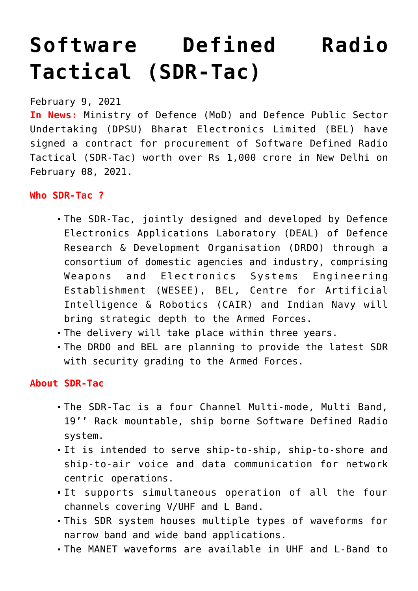# **[Software Defined Radio](https://journalsofindia.com/software-defined-radio-tactical-sdr-tac/) [Tactical \(SDR-Tac\)](https://journalsofindia.com/software-defined-radio-tactical-sdr-tac/)**

February 9, 2021

**In News:** Ministry of Defence (MoD) and Defence Public Sector Undertaking (DPSU) Bharat Electronics Limited (BEL) have signed a contract for procurement of Software Defined Radio Tactical (SDR-Tac) worth over Rs 1,000 crore in New Delhi on February 08, 2021.

**Who SDR-Tac ?**

- The SDR-Tac, jointly designed and developed by Defence Electronics Applications Laboratory (DEAL) of Defence Research & Development Organisation (DRDO) through a consortium of domestic agencies and industry, comprising Weapons and Electronics Systems Engineering Establishment (WESEE), BEL, Centre for Artificial Intelligence & Robotics (CAIR) and Indian Navy will bring strategic depth to the Armed Forces.
- The delivery will take place within three years.
- The DRDO and BEL are planning to provide the latest SDR with security grading to the Armed Forces.

# **About SDR-Tac**

- The SDR-Tac is a four Channel Multi-mode, Multi Band, 19'' Rack mountable, ship borne Software Defined Radio system.
- It is intended to serve ship-to-ship, ship-to-shore and ship-to-air voice and data communication for network centric operations.
- It supports simultaneous operation of all the four channels covering V/UHF and L Band.
- This SDR system houses multiple types of waveforms for narrow band and wide band applications.
- The MANET waveforms are available in UHF and L-Band to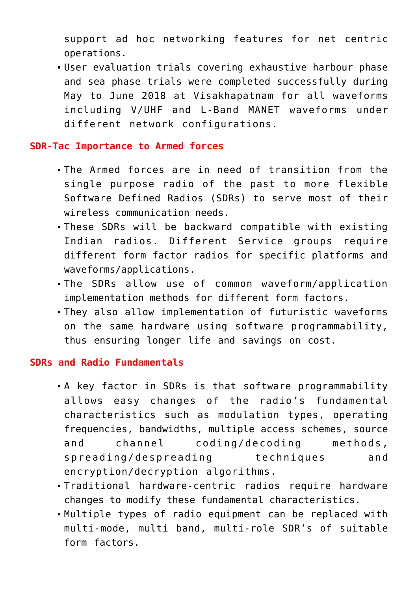support ad hoc networking features for net centric operations.

User evaluation trials covering exhaustive harbour phase and sea phase trials were completed successfully during May to June 2018 at Visakhapatnam for all waveforms including V/UHF and L-Band MANET waveforms under different network configurations.

#### **SDR-Tac Importance to Armed forces**

- The Armed forces are in need of transition from the single purpose radio of the past to more flexible Software Defined Radios (SDRs) to serve most of their wireless communication needs.
- These SDRs will be backward compatible with existing Indian radios. Different Service groups require different form factor radios for specific platforms and waveforms/applications.
- The SDRs allow use of common waveform/application implementation methods for different form factors.
- They also allow implementation of futuristic waveforms on the same hardware using software programmability, thus ensuring longer life and savings on cost.

#### **SDRs and Radio Fundamentals**

- A key factor in SDRs is that software programmability allows easy changes of the radio's fundamental characteristics such as modulation types, operating frequencies, bandwidths, multiple access schemes, source and channel coding/decoding methods, spreading/despreading techniques and encryption/decryption algorithms.
- Traditional hardware-centric radios require hardware changes to modify these fundamental characteristics.
- Multiple types of radio equipment can be replaced with multi-mode, multi band, multi-role SDR's of suitable form factors.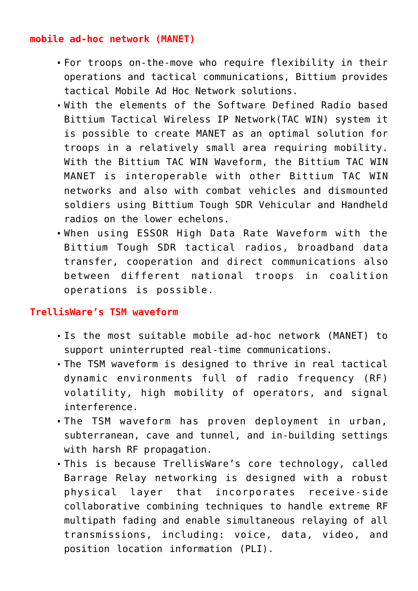## **mobile ad-hoc network (MANET)**

- For troops on-the-move who require flexibility in their operations and tactical communications, Bittium provides tactical Mobile Ad Hoc Network solutions.
- With the elements of the Software Defined Radio based Bittium Tactical Wireless IP Network(TAC WIN) system it is possible to create MANET as an optimal solution for troops in a relatively small area requiring mobility. With the Bittium TAC WIN Waveform, the Bittium TAC WIN MANET is interoperable with other Bittium TAC WIN networks and also with combat vehicles and dismounted soldiers using Bittium Tough SDR Vehicular and Handheld radios on the lower echelons.
- When using ESSOR High Data Rate Waveform with the Bittium Tough SDR tactical radios, broadband data transfer, cooperation and direct communications also between different national troops in coalition operations is possible.

### **TrellisWare's TSM waveform**

- Is the most suitable mobile ad-hoc network (MANET) to support uninterrupted real-time communications.
- The TSM waveform is designed to thrive in real tactical dynamic environments full of radio frequency (RF) volatility, high mobility of operators, and signal interference.
- The TSM waveform has proven deployment in urban, subterranean, cave and tunnel, and in-building settings with harsh RF propagation.
- This is because TrellisWare's core technology, called Barrage Relay networking is designed with a robust physical layer that incorporates receive-side collaborative combining techniques to handle extreme RF multipath fading and enable simultaneous relaying of all transmissions, including: voice, data, video, and position location information (PLI).